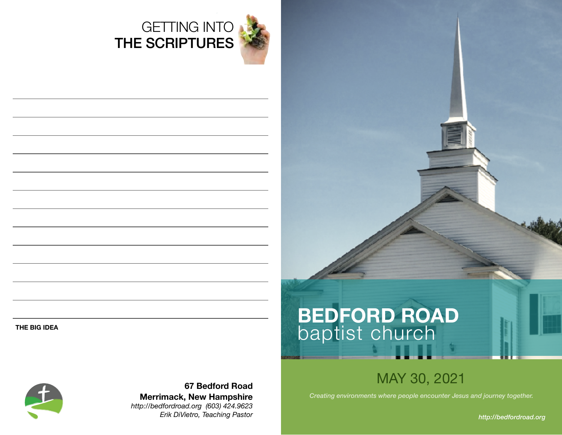

## GETTING INTO THE SCRIPTURES

#### **THE BIG IDEA**



**67 Bedford Road Merrimack, New Hampshire**  *http://bedfordroad.org (603) 424.9623 Erik DiVietro, Teaching Pastor*

# **BEDFORD ROAD**  baptist church

## MAY 30, 2021

*Creating environments where people encounter Jesus and journey together.*

*http://bedfordroad.org*